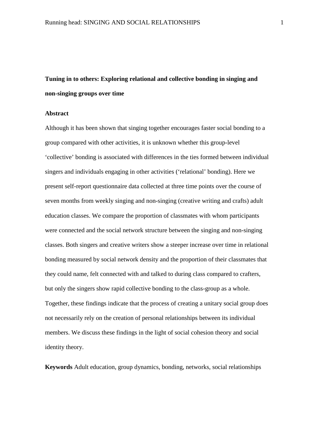# **Tuning in to others: Exploring relational and collective bonding in singing and non-singing groups over time**

# **Abstract**

Although it has been shown that singing together encourages faster social bonding to a group compared with other activities, it is unknown whether this group-level 'collective' bonding is associated with differences in the ties formed between individual singers and individuals engaging in other activities ('relational' bonding). Here we present self-report questionnaire data collected at three time points over the course of seven months from weekly singing and non-singing (creative writing and crafts) adult education classes. We compare the proportion of classmates with whom participants were connected and the social network structure between the singing and non-singing classes. Both singers and creative writers show a steeper increase over time in relational bonding measured by social network density and the proportion of their classmates that they could name, felt connected with and talked to during class compared to crafters, but only the singers show rapid collective bonding to the class-group as a whole. Together, these findings indicate that the process of creating a unitary social group does not necessarily rely on the creation of personal relationships between its individual members. We discuss these findings in the light of social cohesion theory and social identity theory.

**Keywords** Adult education, group dynamics, bonding, networks, social relationships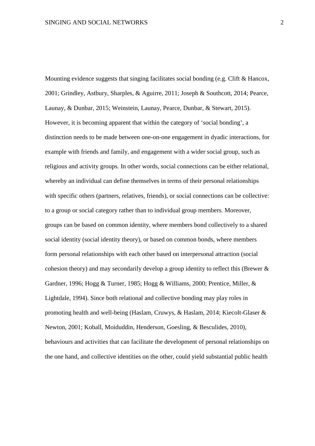Mounting evidence suggests that singing facilitates social bonding (e.g. Clift & Hancox, 2001; Grindley, Astbury, Sharples, & Aguirre, 2011; Joseph & Southcott, 2014; Pearce, Launay, & Dunbar, 2015; Weinstein, Launay, Pearce, Dunbar, & Stewart, 2015). However, it is becoming apparent that within the category of 'social bonding', a distinction needs to be made between one-on-one engagement in dyadic interactions, for example with friends and family, and engagement with a wider social group, such as religious and activity groups. In other words, social connections can be either relational, whereby an individual can define themselves in terms of their personal relationships with specific others (partners, relatives, friends), or social connections can be collective: to a group or social category rather than to individual group members. Moreover, groups can be based on common identity, where members bond collectively to a shared social identity (social identity theory), or based on common bonds, where members form personal relationships with each other based on interpersonal attraction (social cohesion theory) and may secondarily develop a group identity to reflect this (Brewer & Gardner, 1996; Hogg & Turner, 1985; Hogg & Williams, 2000; Prentice, Miller, & Lightdale, 1994). Since both relational and collective bonding may play roles in promoting health and well-being (Haslam, Cruwys, & Haslam, 2014; Kiecolt-Glaser & Newton, 2001; Koball, Moiduddin, Henderson, Goesling, & Besculides, 2010), behaviours and activities that can facilitate the development of personal relationships on the one hand, and collective identities on the other, could yield substantial public health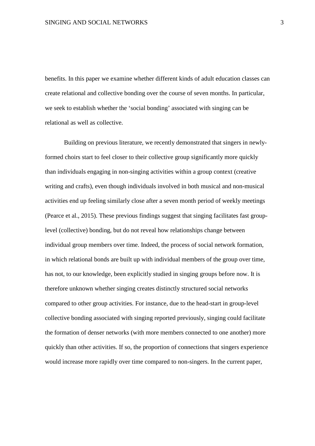benefits. In this paper we examine whether different kinds of adult education classes can create relational and collective bonding over the course of seven months. In particular, we seek to establish whether the 'social bonding' associated with singing can be relational as well as collective.

Building on previous literature, we recently demonstrated that singers in newlyformed choirs start to feel closer to their collective group significantly more quickly than individuals engaging in non-singing activities within a group context (creative writing and crafts), even though individuals involved in both musical and non-musical activities end up feeling similarly close after a seven month period of weekly meetings (Pearce et al., 2015). These previous findings suggest that singing facilitates fast grouplevel (collective) bonding, but do not reveal how relationships change between individual group members over time. Indeed, the process of social network formation, in which relational bonds are built up with individual members of the group over time, has not, to our knowledge, been explicitly studied in singing groups before now. It is therefore unknown whether singing creates distinctly structured social networks compared to other group activities. For instance, due to the head-start in group-level collective bonding associated with singing reported previously, singing could facilitate the formation of denser networks (with more members connected to one another) more quickly than other activities. If so, the proportion of connections that singers experience would increase more rapidly over time compared to non-singers. In the current paper,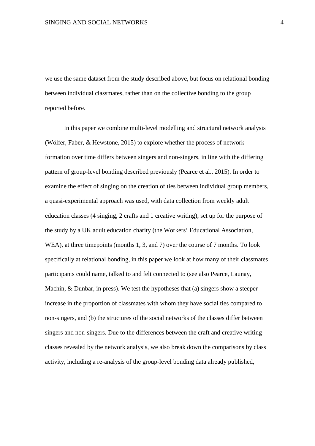we use the same dataset from the study described above, but focus on relational bonding between individual classmates, rather than on the collective bonding to the group reported before.

In this paper we combine multi-level modelling and structural network analysis (Wölfer, Faber, & Hewstone, 2015) to explore whether the process of network formation over time differs between singers and non-singers, in line with the differing pattern of group-level bonding described previously (Pearce et al., 2015). In order to examine the effect of singing on the creation of ties between individual group members, a quasi-experimental approach was used, with data collection from weekly adult education classes (4 singing, 2 crafts and 1 creative writing), set up for the purpose of the study by a UK adult education charity (the Workers' Educational Association, WEA), at three timepoints (months 1, 3, and 7) over the course of 7 months. To look specifically at relational bonding, in this paper we look at how many of their classmates participants could name, talked to and felt connected to (see also Pearce, Launay, Machin, & Dunbar, in press). We test the hypotheses that (a) singers show a steeper increase in the proportion of classmates with whom they have social ties compared to non-singers, and (b) the structures of the social networks of the classes differ between singers and non-singers. Due to the differences between the craft and creative writing classes revealed by the network analysis, we also break down the comparisons by class activity, including a re-analysis of the group-level bonding data already published,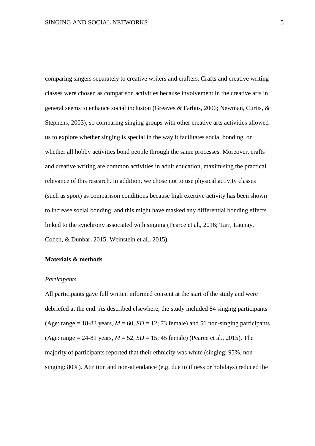comparing singers separately to creative writers and crafters. Crafts and creative writing classes were chosen as comparison activities because involvement in the creative arts in general seems to enhance social inclusion (Greaves & Farbus, 2006; Newman, Curtis, & Stephens, 2003), so comparing singing groups with other creative arts activities allowed us to explore whether singing is special in the way it facilitates social bonding, or whether all hobby activities bond people through the same processes. Moreover, crafts and creative writing are common activities in adult education, maximising the practical relevance of this research. In addition, we chose not to use physical activity classes (such as sport) as comparison conditions because high exertive activity has been shown to increase social bonding, and this might have masked any differential bonding effects linked to the synchrony associated with singing (Pearce et al., 2016; Tarr, Launay, Cohen, & Dunbar, 2015; Weinstein et al., 2015).

# **Materials & methods**

#### *Participants*

All participants gave full written informed consent at the start of the study and were debriefed at the end. As described elsewhere, the study included 84 singing participants (Age: range =  $18-83$  years,  $M = 60$ ,  $SD = 12$ ; 73 female) and 51 non-singing participants (Age: range =  $24-81$  years,  $M = 52$ ,  $SD = 15$ ; 45 female) (Pearce et al., 2015). The majority of participants reported that their ethnicity was white (singing: 95%, nonsinging: 80%). Attrition and non-attendance (e.g. due to illness or holidays) reduced the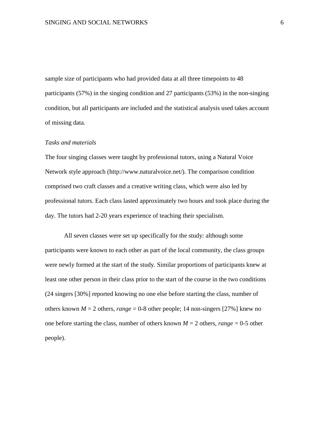sample size of participants who had provided data at all three timepoints to 48 participants (57%) in the singing condition and 27 participants (53%) in the non-singing condition, but all participants are included and the statistical analysis used takes account of missing data.

#### *Tasks and materials*

The four singing classes were taught by professional tutors, using a Natural Voice Network style approach (http://www.naturalvoice.net/). The comparison condition comprised two craft classes and a creative writing class, which were also led by professional tutors. Each class lasted approximately two hours and took place during the day. The tutors had 2-20 years experience of teaching their specialism.

All seven classes were set up specifically for the study: although some participants were known to each other as part of the local community, the class groups were newly formed at the start of the study. Similar proportions of participants knew at least one other person in their class prior to the start of the course in the two conditions (24 singers [30%] reported knowing no one else before starting the class, number of others known  $M = 2$  others, *range* = 0-8 other people; 14 non-singers [27%] knew no one before starting the class, number of others known  $M = 2$  others, *range* = 0-5 other people).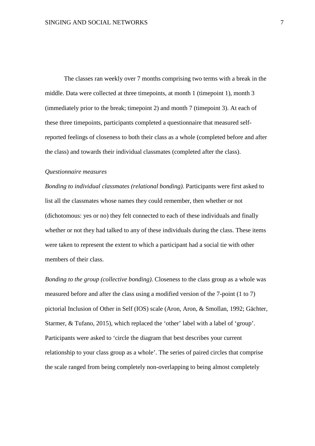The classes ran weekly over 7 months comprising two terms with a break in the middle. Data were collected at three timepoints, at month 1 (timepoint 1), month 3 (immediately prior to the break; timepoint 2) and month 7 (timepoint 3). At each of these three timepoints, participants completed a questionnaire that measured selfreported feelings of closeness to both their class as a whole (completed before and after the class) and towards their individual classmates (completed after the class).

#### *Questionnaire measures*

*Bonding to individual classmates (relational bonding).* Participants were first asked to list all the classmates whose names they could remember, then whether or not (dichotomous: yes or no) they felt connected to each of these individuals and finally whether or not they had talked to any of these individuals during the class. These items were taken to represent the extent to which a participant had a social tie with other members of their class.

*Bonding to the group (collective bonding).* Closeness to the class group as a whole was measured before and after the class using a modified version of the 7-point (1 to 7) pictorial Inclusion of Other in Self (IOS) scale (Aron, Aron, & Smollan, 1992; Gächter, Starmer, & Tufano, 2015), which replaced the 'other' label with a label of 'group'. Participants were asked to 'circle the diagram that best describes your current relationship to your class group as a whole'. The series of paired circles that comprise the scale ranged from being completely non-overlapping to being almost completely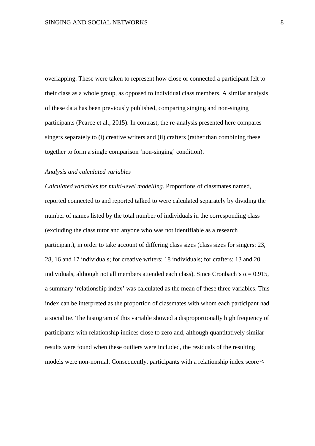overlapping. These were taken to represent how close or connected a participant felt to their class as a whole group, as opposed to individual class members. A similar analysis of these data has been previously published, comparing singing and non-singing participants (Pearce et al., 2015). In contrast, the re-analysis presented here compares singers separately to (i) creative writers and (ii) crafters (rather than combining these together to form a single comparison 'non-singing' condition).

# *Analysis and calculated variables*

*Calculated variables for multi-level modelling.* Proportions of classmates named, reported connected to and reported talked to were calculated separately by dividing the number of names listed by the total number of individuals in the corresponding class (excluding the class tutor and anyone who was not identifiable as a research participant), in order to take account of differing class sizes (class sizes for singers: 23, 28, 16 and 17 individuals; for creative writers: 18 individuals; for crafters: 13 and 20 individuals, although not all members attended each class). Since Cronbach's  $\alpha = 0.915$ , a summary 'relationship index' was calculated as the mean of these three variables. This index can be interpreted as the proportion of classmates with whom each participant had a social tie. The histogram of this variable showed a disproportionally high frequency of participants with relationship indices close to zero and, although quantitatively similar results were found when these outliers were included, the residuals of the resulting models were non-normal. Consequently, participants with a relationship index score  $\leq$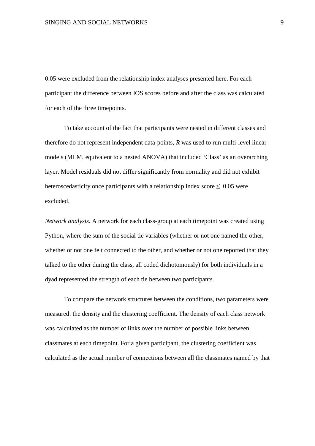0.05 were excluded from the relationship index analyses presented here. For each participant the difference between IOS scores before and after the class was calculated for each of the three timepoints.

To take account of the fact that participants were nested in different classes and therefore do not represent independent data-points, *R* was used to run multi-level linear models (MLM, equivalent to a nested ANOVA) that included 'Class' as an overarching layer. Model residuals did not differ significantly from normality and did not exhibit heteroscedasticity once participants with a relationship index score  $\leq 0.05$  were excluded.

*Network analysis.* A network for each class-group at each timepoint was created using Python, where the sum of the social tie variables (whether or not one named the other, whether or not one felt connected to the other, and whether or not one reported that they talked to the other during the class, all coded dichotomously) for both individuals in a dyad represented the strength of each tie between two participants.

To compare the network structures between the conditions, two parameters were measured: the density and the clustering coefficient. The density of each class network was calculated as the number of links over the number of possible links between classmates at each timepoint. For a given participant, the clustering coefficient was calculated as the actual number of connections between all the classmates named by that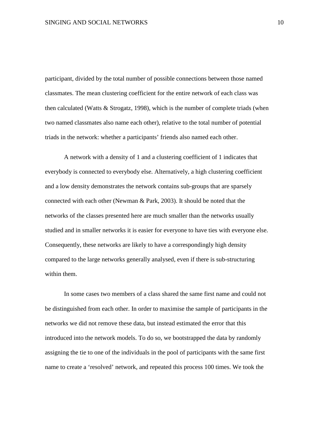participant, divided by the total number of possible connections between those named classmates. The mean clustering coefficient for the entire network of each class was then calculated (Watts & Strogatz, 1998), which is the number of complete triads (when two named classmates also name each other), relative to the total number of potential triads in the network: whether a participants' friends also named each other.

A network with a density of 1 and a clustering coefficient of 1 indicates that everybody is connected to everybody else. Alternatively, a high clustering coefficient and a low density demonstrates the network contains sub-groups that are sparsely connected with each other (Newman & Park, 2003). It should be noted that the networks of the classes presented here are much smaller than the networks usually studied and in smaller networks it is easier for everyone to have ties with everyone else. Consequently, these networks are likely to have a correspondingly high density compared to the large networks generally analysed, even if there is sub-structuring within them.

In some cases two members of a class shared the same first name and could not be distinguished from each other. In order to maximise the sample of participants in the networks we did not remove these data, but instead estimated the error that this introduced into the network models. To do so, we bootstrapped the data by randomly assigning the tie to one of the individuals in the pool of participants with the same first name to create a 'resolved' network, and repeated this process 100 times. We took the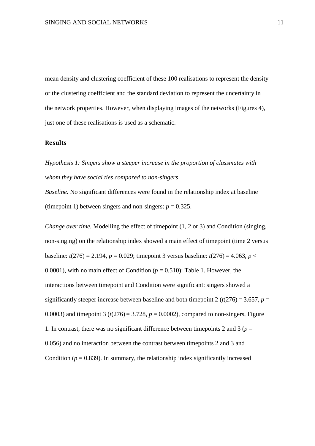mean density and clustering coefficient of these 100 realisations to represent the density or the clustering coefficient and the standard deviation to represent the uncertainty in the network properties. However, when displaying images of the networks (Figures 4), just one of these realisations is used as a schematic.

### **Results**

*Hypothesis 1: Singers show a steeper increase in the proportion of classmates with whom they have social ties compared to non-singers*

*Baseline.* No significant differences were found in the relationship index at baseline (timepoint 1) between singers and non-singers:  $p = 0.325$ .

*Change over time.* Modelling the effect of timepoint (1, 2 or 3) and Condition (singing, non-singing) on the relationship index showed a main effect of timepoint (time 2 versus baseline:  $t(276) = 2.194$ ,  $p = 0.029$ ; timepoint 3 versus baseline:  $t(276) = 4.063$ ,  $p <$ 0.0001), with no main effect of Condition  $(p = 0.510)$ : Table 1. However, the interactions between timepoint and Condition were significant: singers showed a significantly steeper increase between baseline and both timepoint 2 ( $t(276) = 3.657$ ,  $p =$ 0.0003) and timepoint  $3 (t(276) = 3.728, p = 0.0002)$ , compared to non-singers, Figure 1. In contrast, there was no significant difference between timepoints 2 and 3 ( $p =$ 0.056) and no interaction between the contrast between timepoints 2 and 3 and Condition ( $p = 0.839$ ). In summary, the relationship index significantly increased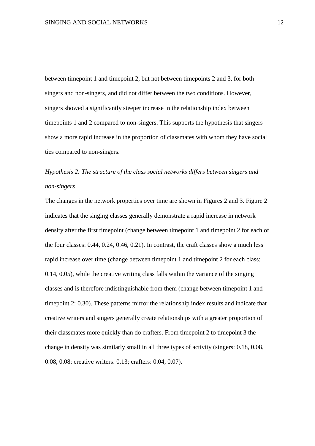between timepoint 1 and timepoint 2, but not between timepoints 2 and 3, for both singers and non-singers, and did not differ between the two conditions. However, singers showed a significantly steeper increase in the relationship index between timepoints 1 and 2 compared to non-singers. This supports the hypothesis that singers show a more rapid increase in the proportion of classmates with whom they have social ties compared to non-singers.

# *Hypothesis 2: The structure of the class social networks differs between singers and non-singers*

The changes in the network properties over time are shown in Figures 2 and 3. Figure 2 indicates that the singing classes generally demonstrate a rapid increase in network density after the first timepoint (change between timepoint 1 and timepoint 2 for each of the four classes: 0.44, 0.24, 0.46, 0.21). In contrast, the craft classes show a much less rapid increase over time (change between timepoint 1 and timepoint 2 for each class: 0.14, 0.05), while the creative writing class falls within the variance of the singing classes and is therefore indistinguishable from them (change between timepoint 1 and timepoint 2: 0.30). These patterns mirror the relationship index results and indicate that creative writers and singers generally create relationships with a greater proportion of their classmates more quickly than do crafters. From timepoint 2 to timepoint 3 the change in density was similarly small in all three types of activity (singers: 0.18, 0.08, 0.08, 0.08; creative writers: 0.13; crafters: 0.04, 0.07).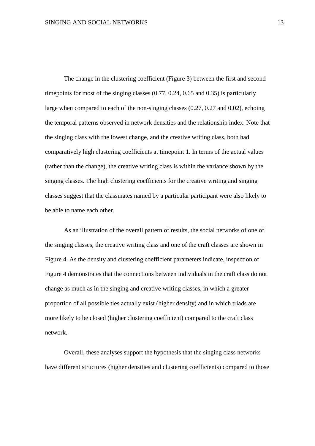The change in the clustering coefficient (Figure 3) between the first and second timepoints for most of the singing classes (0.77, 0.24, 0.65 and 0.35) is particularly large when compared to each of the non-singing classes (0.27, 0.27 and 0.02), echoing the temporal patterns observed in network densities and the relationship index. Note that the singing class with the lowest change, and the creative writing class, both had comparatively high clustering coefficients at timepoint 1. In terms of the actual values (rather than the change), the creative writing class is within the variance shown by the singing classes. The high clustering coefficients for the creative writing and singing classes suggest that the classmates named by a particular participant were also likely to be able to name each other.

As an illustration of the overall pattern of results, the social networks of one of the singing classes, the creative writing class and one of the craft classes are shown in Figure 4. As the density and clustering coefficient parameters indicate, inspection of Figure 4 demonstrates that the connections between individuals in the craft class do not change as much as in the singing and creative writing classes, in which a greater proportion of all possible ties actually exist (higher density) and in which triads are more likely to be closed (higher clustering coefficient) compared to the craft class network.

Overall, these analyses support the hypothesis that the singing class networks have different structures (higher densities and clustering coefficients) compared to those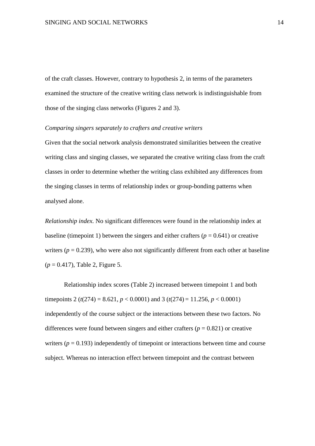of the craft classes. However, contrary to hypothesis 2, in terms of the parameters examined the structure of the creative writing class network is indistinguishable from those of the singing class networks (Figures 2 and 3).

#### *Comparing singers separately to crafters and creative writers*

Given that the social network analysis demonstrated similarities between the creative writing class and singing classes, we separated the creative writing class from the craft classes in order to determine whether the writing class exhibited any differences from the singing classes in terms of relationship index or group-bonding patterns when analysed alone.

*Relationship index.* No significant differences were found in the relationship index at baseline (timepoint 1) between the singers and either crafters ( $p = 0.641$ ) or creative writers ( $p = 0.239$ ), who were also not significantly different from each other at baseline (*p* = 0.417), Table 2, Figure 5.

Relationship index scores (Table 2) increased between timepoint 1 and both timepoints 2 ( $t(274) = 8.621$ ,  $p < 0.0001$ ) and 3 ( $t(274) = 11.256$ ,  $p < 0.0001$ ) independently of the course subject or the interactions between these two factors. No differences were found between singers and either crafters ( $p = 0.821$ ) or creative writers  $(p = 0.193)$  independently of timepoint or interactions between time and course subject. Whereas no interaction effect between timepoint and the contrast between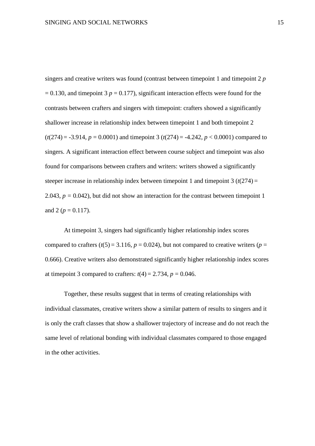singers and creative writers was found (contrast between timepoint 1 and timepoint 2 *p*  $= 0.130$ , and timepoint 3  $p = 0.177$ ), significant interaction effects were found for the contrasts between crafters and singers with timepoint: crafters showed a significantly shallower increase in relationship index between timepoint 1 and both timepoint 2  $(t(274) = -3.914, p = 0.0001)$  and timepoint 3  $(t(274) = -4.242, p < 0.0001)$  compared to singers. A significant interaction effect between course subject and timepoint was also found for comparisons between crafters and writers: writers showed a significantly steeper increase in relationship index between timepoint 1 and timepoint 3  $(t(274) =$ 2.043,  $p = 0.042$ ), but did not show an interaction for the contrast between timepoint 1 and 2 ( $p = 0.117$ ).

At timepoint 3, singers had significantly higher relationship index scores compared to crafters  $(t(5) = 3.116, p = 0.024)$ , but not compared to creative writers ( $p =$ 0.666). Creative writers also demonstrated significantly higher relationship index scores at timepoint 3 compared to crafters:  $t(4) = 2.734$ ,  $p = 0.046$ .

Together, these results suggest that in terms of creating relationships with individual classmates, creative writers show a similar pattern of results to singers and it is only the craft classes that show a shallower trajectory of increase and do not reach the same level of relational bonding with individual classmates compared to those engaged in the other activities.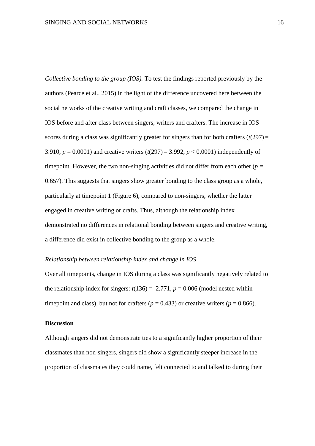*Collective bonding to the group (IOS).* To test the findings reported previously by the authors (Pearce et al., 2015) in the light of the difference uncovered here between the social networks of the creative writing and craft classes, we compared the change in IOS before and after class between singers, writers and crafters. The increase in IOS scores during a class was significantly greater for singers than for both crafters  $(t(297) =$ 3.910,  $p = 0.0001$ ) and creative writers  $(t(297) = 3.992, p < 0.0001)$  independently of time point. However, the two non-singing activities did not differ from each other ( $p =$ 0.657). This suggests that singers show greater bonding to the class group as a whole, particularly at timepoint 1 (Figure 6), compared to non-singers, whether the latter engaged in creative writing or crafts. Thus, although the relationship index demonstrated no differences in relational bonding between singers and creative writing, a difference did exist in collective bonding to the group as a whole.

#### *Relationship between relationship index and change in IOS*

Over all timepoints, change in IOS during a class was significantly negatively related to the relationship index for singers:  $t(136) = -2.771$ ,  $p = 0.006$  (model nested within time point and class), but not for crafters ( $p = 0.433$ ) or creative writers ( $p = 0.866$ ).

# **Discussion**

Although singers did not demonstrate ties to a significantly higher proportion of their classmates than non-singers, singers did show a significantly steeper increase in the proportion of classmates they could name, felt connected to and talked to during their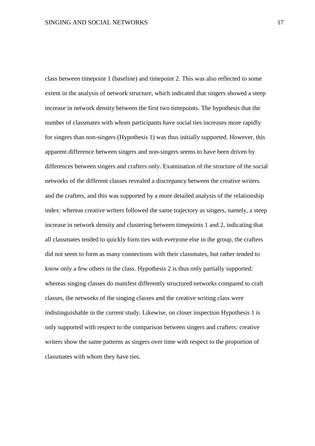class between timepoint 1 (baseline) and timepoint 2. This was also reflected to some extent in the analysis of network structure, which indicated that singers showed a steep increase in network density between the first two timepoints. The hypothesis that the number of classmates with whom participants have social ties increases more rapidly for singers than non-singers (Hypothesis 1) was thus initially supported. However, this apparent difference between singers and non-singers seems to have been driven by differences between singers and crafters only. Examination of the structure of the social networks of the different classes revealed a discrepancy between the creative writers and the crafters, and this was supported by a more detailed analysis of the relationship index: whereas creative writers followed the same trajectory as singers, namely, a steep increase in network density and clustering between timepoints 1 and 2, indicating that all classmates tended to quickly form ties with everyone else in the group, the crafters did not seem to form as many connections with their classmates, but rather tended to know only a few others in the class. Hypothesis 2 is thus only partially supported: whereas singing classes do manifest differently structured networks compared to craft classes, the networks of the singing classes and the creative writing class were indistinguishable in the current study. Likewise, on closer inspection Hypothesis 1 is only supported with respect to the comparison between singers and crafters: creative writers show the same patterns as singers over time with respect to the proportion of classmates with whom they have ties.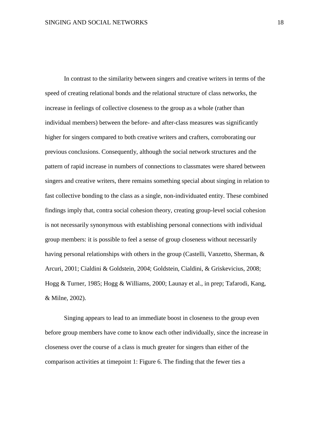In contrast to the similarity between singers and creative writers in terms of the speed of creating relational bonds and the relational structure of class networks, the increase in feelings of collective closeness to the group as a whole (rather than individual members) between the before- and after-class measures was significantly higher for singers compared to both creative writers and crafters, corroborating our previous conclusions. Consequently, although the social network structures and the pattern of rapid increase in numbers of connections to classmates were shared between singers and creative writers, there remains something special about singing in relation to fast collective bonding to the class as a single, non-individuated entity. These combined findings imply that, contra social cohesion theory, creating group-level social cohesion is not necessarily synonymous with establishing personal connections with individual group members: it is possible to feel a sense of group closeness without necessarily having personal relationships with others in the group (Castelli, Vanzetto, Sherman, & Arcuri, 2001; Cialdini & Goldstein, 2004; Goldstein, Cialdini, & Griskevicius, 2008; Hogg & Turner, 1985; Hogg & Williams, 2000; Launay et al., in prep; Tafarodi, Kang, & Milne, 2002).

Singing appears to lead to an immediate boost in closeness to the group even before group members have come to know each other individually, since the increase in closeness over the course of a class is much greater for singers than either of the comparison activities at timepoint 1: Figure 6. The finding that the fewer ties a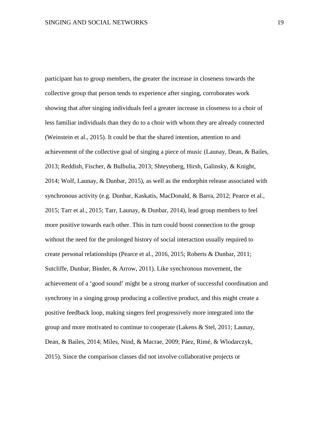participant has to group members, the greater the increase in closeness towards the collective group that person tends to experience after singing, corroborates work showing that after singing individuals feel a greater increase in closeness to a choir of less familiar individuals than they do to a choir with whom they are already connected (Weinstein et al., 2015). It could be that the shared intention, attention to and achievement of the collective goal of singing a piece of music (Launay, Dean, & Bailes, 2013; Reddish, Fischer, & Bulbulia, 2013; Shteynberg, Hirsh, Galinsky, & Knight, 2014; Wolf, Launay, & Dunbar, 2015), as well as the endorphin release associated with synchronous activity (e.g. Dunbar, Kaskatis, MacDonald, & Barra, 2012; Pearce et al., 2015; Tarr et al., 2015; Tarr, Launay, & Dunbar, 2014), lead group members to feel more positive towards each other. This in turn could boost connection to the group without the need for the prolonged history of social interaction usually required to create personal relationships (Pearce et al., 2016, 2015; Roberts & Dunbar, 2011; Sutcliffe, Dunbar, Binder, & Arrow, 2011). Like synchronous movement, the achievement of a 'good sound' might be a strong marker of successful coordination and synchrony in a singing group producing a collective product, and this might create a positive feedback loop, making singers feel progressively more integrated into the group and more motivated to continue to cooperate (Lakens & Stel, 2011; Launay, Dean, & Bailes, 2014; Miles, Nind, & Macrae, 2009; Páez, Rimé, & Wlodarczyk, 2015). Since the comparison classes did not involve collaborative projects or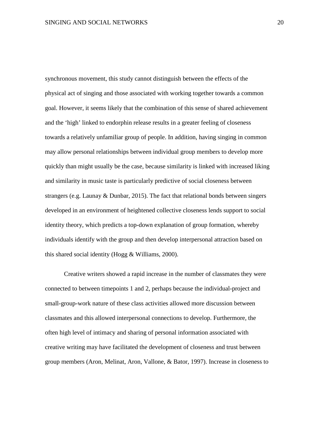synchronous movement, this study cannot distinguish between the effects of the physical act of singing and those associated with working together towards a common goal. However, it seems likely that the combination of this sense of shared achievement and the 'high' linked to endorphin release results in a greater feeling of closeness towards a relatively unfamiliar group of people. In addition, having singing in common may allow personal relationships between individual group members to develop more quickly than might usually be the case, because similarity is linked with increased liking and similarity in music taste is particularly predictive of social closeness between strangers (e.g. Launay & Dunbar, 2015). The fact that relational bonds between singers developed in an environment of heightened collective closeness lends support to social identity theory, which predicts a top-down explanation of group formation, whereby individuals identify with the group and then develop interpersonal attraction based on this shared social identity (Hogg  $&$  Williams, 2000).

Creative writers showed a rapid increase in the number of classmates they were connected to between timepoints 1 and 2, perhaps because the individual-project and small-group-work nature of these class activities allowed more discussion between classmates and this allowed interpersonal connections to develop. Furthermore, the often high level of intimacy and sharing of personal information associated with creative writing may have facilitated the development of closeness and trust between group members (Aron, Melinat, Aron, Vallone, & Bator, 1997). Increase in closeness to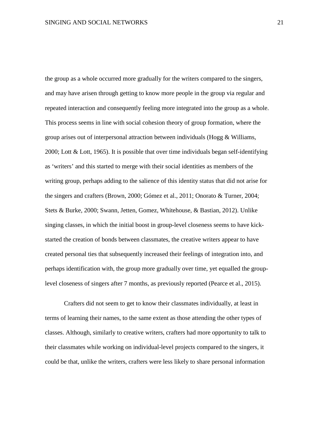the group as a whole occurred more gradually for the writers compared to the singers, and may have arisen through getting to know more people in the group via regular and repeated interaction and consequently feeling more integrated into the group as a whole. This process seems in line with social cohesion theory of group formation, where the group arises out of interpersonal attraction between individuals (Hogg & Williams, 2000; Lott & Lott, 1965). It is possible that over time individuals began self-identifying as 'writers' and this started to merge with their social identities as members of the writing group, perhaps adding to the salience of this identity status that did not arise for the singers and crafters (Brown, 2000; Gómez et al., 2011; Onorato & Turner, 2004; Stets & Burke, 2000; Swann, Jetten, Gomez, Whitehouse, & Bastian, 2012). Unlike singing classes, in which the initial boost in group-level closeness seems to have kickstarted the creation of bonds between classmates, the creative writers appear to have created personal ties that subsequently increased their feelings of integration into, and perhaps identification with, the group more gradually over time, yet equalled the grouplevel closeness of singers after 7 months, as previously reported (Pearce et al., 2015).

Crafters did not seem to get to know their classmates individually, at least in terms of learning their names, to the same extent as those attending the other types of classes. Although, similarly to creative writers, crafters had more opportunity to talk to their classmates while working on individual-level projects compared to the singers, it could be that, unlike the writers, crafters were less likely to share personal information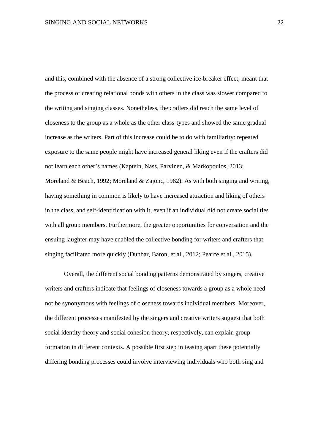and this, combined with the absence of a strong collective ice-breaker effect, meant that the process of creating relational bonds with others in the class was slower compared to the writing and singing classes. Nonetheless, the crafters did reach the same level of closeness to the group as a whole as the other class-types and showed the same gradual increase as the writers. Part of this increase could be to do with familiarity: repeated exposure to the same people might have increased general liking even if the crafters did not learn each other's names (Kaptein, Nass, Parvinen, & Markopoulos, 2013; Moreland & Beach, 1992; Moreland & Zajonc, 1982). As with both singing and writing, having something in common is likely to have increased attraction and liking of others in the class, and self-identification with it, even if an individual did not create social ties with all group members. Furthermore, the greater opportunities for conversation and the ensuing laughter may have enabled the collective bonding for writers and crafters that singing facilitated more quickly (Dunbar, Baron, et al., 2012; Pearce et al., 2015).

Overall, the different social bonding patterns demonstrated by singers, creative writers and crafters indicate that feelings of closeness towards a group as a whole need not be synonymous with feelings of closeness towards individual members. Moreover, the different processes manifested by the singers and creative writers suggest that both social identity theory and social cohesion theory, respectively, can explain group formation in different contexts. A possible first step in teasing apart these potentially differing bonding processes could involve interviewing individuals who both sing and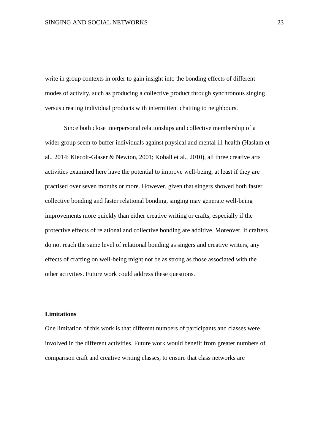write in group contexts in order to gain insight into the bonding effects of different modes of activity, such as producing a collective product through synchronous singing versus creating individual products with intermittent chatting to neighbours.

Since both close interpersonal relationships and collective membership of a wider group seem to buffer individuals against physical and mental ill-health (Haslam et al., 2014; Kiecolt-Glaser & Newton, 2001; Koball et al., 2010), all three creative arts activities examined here have the potential to improve well-being, at least if they are practised over seven months or more. However, given that singers showed both faster collective bonding and faster relational bonding, singing may generate well-being improvements more quickly than either creative writing or crafts, especially if the protective effects of relational and collective bonding are additive. Moreover, if crafters do not reach the same level of relational bonding as singers and creative writers, any effects of crafting on well-being might not be as strong as those associated with the other activities. Future work could address these questions.

#### **Limitations**

One limitation of this work is that different numbers of participants and classes were involved in the different activities. Future work would benefit from greater numbers of comparison craft and creative writing classes, to ensure that class networks are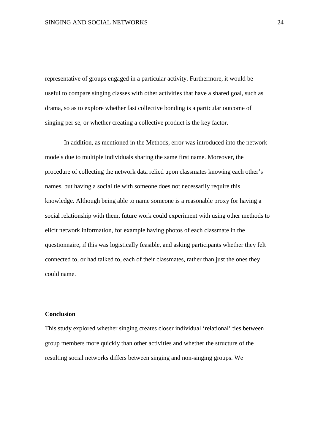representative of groups engaged in a particular activity. Furthermore, it would be useful to compare singing classes with other activities that have a shared goal, such as drama, so as to explore whether fast collective bonding is a particular outcome of singing per se, or whether creating a collective product is the key factor.

In addition, as mentioned in the Methods, error was introduced into the network models due to multiple individuals sharing the same first name. Moreover, the procedure of collecting the network data relied upon classmates knowing each other's names, but having a social tie with someone does not necessarily require this knowledge. Although being able to name someone is a reasonable proxy for having a social relationship with them, future work could experiment with using other methods to elicit network information, for example having photos of each classmate in the questionnaire, if this was logistically feasible, and asking participants whether they felt connected to, or had talked to, each of their classmates, rather than just the ones they could name.

#### **Conclusion**

This study explored whether singing creates closer individual 'relational' ties between group members more quickly than other activities and whether the structure of the resulting social networks differs between singing and non-singing groups. We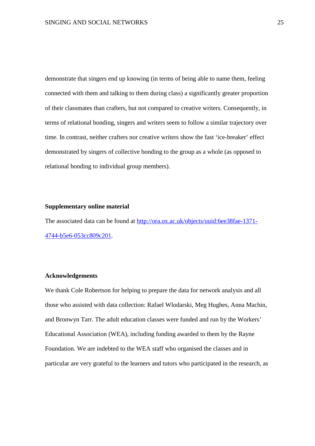demonstrate that singers end up knowing (in terms of being able to name them, feeling connected with them and talking to them during class) a significantly greater proportion of their classmates than crafters, but not compared to creative writers. Consequently, in terms of relational bonding, singers and writers seem to follow a similar trajectory over time. In contrast, neither crafters nor creative writers show the fast 'ice-breaker' effect demonstrated by singers of collective bonding to the group as a whole (as opposed to relational bonding to individual group members).

# **Supplementary online material**

The associated data can be found at [http://ora.ox.ac.uk/objects/uuid:6ee38fae-1371-](http://ora.ox.ac.uk/objects/uuid:6ee38fae-1371-4744-b5e6-053cc809c201) [4744-b5e6-053cc809c201.](http://ora.ox.ac.uk/objects/uuid:6ee38fae-1371-4744-b5e6-053cc809c201)

# **Acknowledgements**

We thank Cole Robertson for helping to prepare the data for network analysis and all those who assisted with data collection: Rafael Wlodarski, Meg Hughes, Anna Machin, and Bronwyn Tarr. The adult education classes were funded and run by the Workers' Educational Association (WEA), including funding awarded to them by the Rayne Foundation. We are indebted to the WEA staff who organised the classes and in particular are very grateful to the learners and tutors who participated in the research, as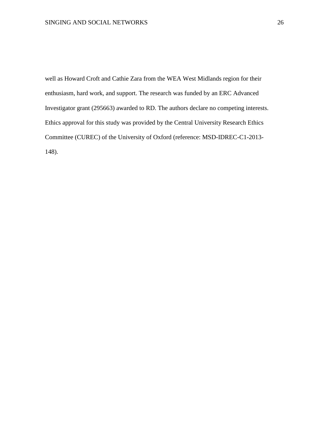well as Howard Croft and Cathie Zara from the WEA West Midlands region for their enthusiasm, hard work, and support. The research was funded by an ERC Advanced Investigator grant (295663) awarded to RD. The authors declare no competing interests. Ethics approval for this study was provided by the Central University Research Ethics Committee (CUREC) of the University of Oxford (reference: MSD-IDREC-C1-2013- 148).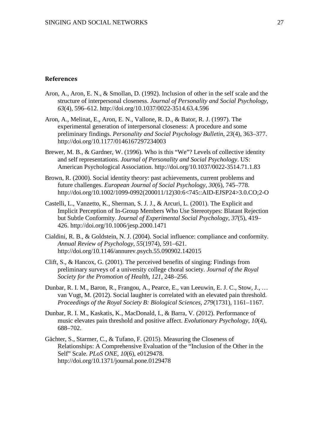### **References**

- Aron, A., Aron, E. N., & Smollan, D. (1992). Inclusion of other in the self scale and the structure of interpersonal closeness. *Journal of Personality and Social Psychology*, *63*(4), 596–612. http://doi.org/10.1037/0022-3514.63.4.596
- Aron, A., Melinat, E., Aron, E. N., Vallone, R. D., & Bator, R. J. (1997). The experimental generation of interpersonal closeness: A procedure and some preliminary findings. *Personality and Social Psychology Bulletin*, *23*(4), 363–377. http://doi.org/10.1177/0146167297234003
- Brewer, M. B., & Gardner, W. (1996). Who is this "We"? Levels of collective identity and self representations. *Journal of Personality and Social Psychology*. US: American Psychological Association. http://doi.org/10.1037/0022-3514.71.1.83
- Brown, R. (2000). Social identity theory: past achievements, current problems and future challenges. *European Journal of Social Psychology*, *30*(6), 745–778. http://doi.org/10.1002/1099-0992(200011/12)30:6<745::AID-EJSP24>3.0.CO;2-O
- Castelli, L., Vanzetto, K., Sherman, S. J. J., & Arcuri, L. (2001). The Explicit and Implicit Perception of In-Group Members Who Use Stereotypes: Blatant Rejection but Subtle Conformity. *Journal of Experimental Social Psychology*, *37*(5), 419– 426. http://doi.org/10.1006/jesp.2000.1471
- Cialdini, R. B., & Goldstein, N. J. (2004). Social influence: compliance and conformity. *Annual Review of Psychology*, *55*(1974), 591–621. http://doi.org/10.1146/annurev.psych.55.090902.142015
- Clift, S., & Hancox, G. (2001). The perceived benefits of singing: Findings from preliminary surveys of a university college choral society. *Journal of the Royal Society for the Promotion of Health*, *121*, 248–256.
- Dunbar, R. I. M., Baron, R., Frangou, A., Pearce, E., van Leeuwin, E. J. C., Stow, J., … van Vugt, M. (2012). Social laughter is correlated with an elevated pain threshold. *Proceedings of the Royal Society B: Biological Sciences*, *279*(1731), 1161–1167.
- Dunbar, R. I. M., Kaskatis, K., MacDonald, I., & Barra, V. (2012). Performance of music elevates pain threshold and positive affect. *Evolutionary Psychology*, *10*(4), 688–702.
- Gächter, S., Starmer, C., & Tufano, F. (2015). Measuring the Closeness of Relationships: A Comprehensive Evaluation of the "Inclusion of the Other in the Self" Scale. *PLoS ONE*, *10*(6), e0129478. http://doi.org/10.1371/journal.pone.0129478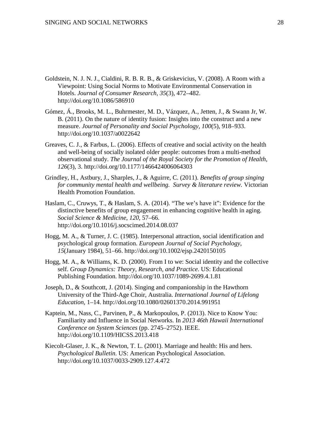- Goldstein, N. J. N. J., Cialdini, R. B. R. B., & Griskevicius, V. (2008). A Room with a Viewpoint: Using Social Norms to Motivate Environmental Conservation in Hotels. *Journal of Consumer Research*, *35*(3), 472–482. http://doi.org/10.1086/586910
- Gómez, Á., Brooks, M. L., Buhrmester, M. D., Vázquez, A., Jetten, J., & Swann Jr, W. B. (2011). On the nature of identity fusion: Insights into the construct and a new measure. *Journal of Personality and Social Psychology*, *100*(5), 918–933. http://doi.org/10.1037/a0022642
- Greaves, C. J., & Farbus, L. (2006). Effects of creative and social activity on the health and well-being of socially isolated older people: outcomes from a multi-method observational study. *The Journal of the Royal Society for the Promotion of Health*, *126*(3), 3. http://doi.org/10.1177/1466424006064303
- Grindley, H., Astbury, J., Sharples, J., & Aguirre, C. (2011). *Benefits of group singing for community mental health and wellbeing. Survey & literature review.* Victorian Health Promotion Foundation.
- Haslam, C., Cruwys, T., & Haslam, S. A. (2014). "The we's have it": Evidence for the distinctive benefits of group engagement in enhancing cognitive health in aging. *Social Science & Medicine*, *120*, 57–66. http://doi.org/10.1016/j.socscimed.2014.08.037
- Hogg, M. A., & Turner, J. C. (1985). Interpersonal attraction, social identification and psychological group formation. *European Journal of Social Psychology*, *15*(January 1984), 51–66. http://doi.org/10.1002/ejsp.2420150105
- Hogg, M. A., & Williams, K. D. (2000). From I to we: Social identity and the collective self. *Group Dynamics: Theory, Research, and Practice*. US: Educational Publishing Foundation. http://doi.org/10.1037/1089-2699.4.1.81
- Joseph, D., & Southcott, J. (2014). Singing and companionship in the Hawthorn University of the Third-Age Choir, Australia. *International Journal of Lifelong Education*, 1–14. http://doi.org/10.1080/02601370.2014.991951
- Kaptein, M., Nass, C., Parvinen, P., & Markopoulos, P. (2013). Nice to Know You: Familiarity and Influence in Social Networks. In *2013 46th Hawaii International Conference on System Sciences* (pp. 2745–2752). IEEE. http://doi.org/10.1109/HICSS.2013.418
- Kiecolt-Glaser, J. K., & Newton, T. L. (2001). Marriage and health: His and hers. *Psychological Bulletin*. US: American Psychological Association. http://doi.org/10.1037/0033-2909.127.4.472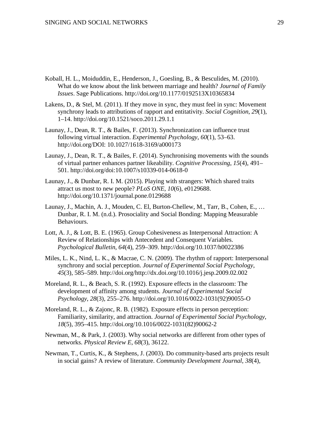- Koball, H. L., Moiduddin, E., Henderson, J., Goesling, B., & Besculides, M. (2010). What do we know about the link between marriage and health? *Journal of Family Issues*. Sage Publications. http://doi.org/10.1177/0192513X10365834
- Lakens, D., & Stel, M. (2011). If they move in sync, they must feel in sync: Movement synchrony leads to attributions of rapport and entitativity. *Social Cognition*, *29*(1), 1–14. http://doi.org/10.1521/soco.2011.29.1.1
- Launay, J., Dean, R. T., & Bailes, F. (2013). Synchronization can influence trust following virtual interaction. *Experimental Psychology*, *60*(1), 53–63. http://doi.org/DOI: 10.1027/1618-3169/a000173
- Launay, J., Dean, R. T., & Bailes, F. (2014). Synchronising movements with the sounds of virtual partner enhances partner likeability. *Cognitive Processing*, *15*(4), 491– 501. http://doi.org/doi:10.1007/s10339-014-0618-0
- Launay, J., & Dunbar, R. I. M. (2015). Playing with strangers: Which shared traits attract us most to new people? *PLoS ONE*, *10*(6), e0129688. http://doi.org/10.1371/journal.pone.0129688
- Launay, J., Machin, A. J., Mouden, C. El, Burton-Chellew, M., Tarr, B., Cohen, E., … Dunbar, R. I. M. (n.d.). Prosociality and Social Bonding: Mapping Measurable Behaviours.
- Lott, A. J., & Lott, B. E. (1965). Group Cohesiveness as Interpersonal Attraction: A Review of Relationships with Antecedent and Consequent Variables. *Psychological Bulletin*, *64*(4), 259–309. http://doi.org/10.1037/h0022386
- Miles, L. K., Nind, L. K., & Macrae, C. N. (2009). The rhythm of rapport: Interpersonal synchrony and social perception. *Journal of Experimental Social Psychology*, *45*(3), 585–589. http://doi.org/http://dx.doi.org/10.1016/j.jesp.2009.02.002
- Moreland, R. L., & Beach, S. R. (1992). Exposure effects in the classroom: The development of affinity among students. *Journal of Experimental Social Psychology*, *28*(3), 255–276. http://doi.org/10.1016/0022-1031(92)90055-O
- Moreland, R. L., & Zajonc, R. B. (1982). Exposure effects in person perception: Familiarity, similarity, and attraction. *Journal of Experimental Social Psychology*, *18*(5), 395–415. http://doi.org/10.1016/0022-1031(82)90062-2
- Newman, M., & Park, J. (2003). Why social networks are different from other types of networks. *Physical Review E*, *68*(3), 36122.
- Newman, T., Curtis, K., & Stephens, J. (2003). Do community-based arts projects result in social gains? A review of literature. *Community Development Journal*, *38*(4),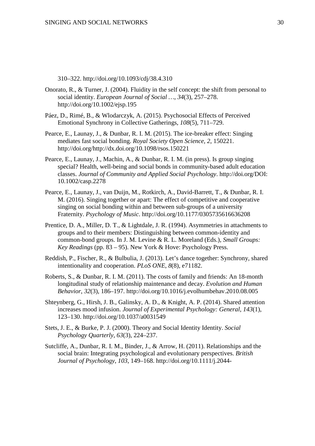310–322. http://doi.org/10.1093/cdj/38.4.310

- Onorato, R., & Turner, J. (2004). Fluidity in the self concept: the shift from personal to social identity. *European Journal of Social …*, *34*(3), 257–278. http://doi.org/10.1002/ejsp.195
- Páez, D., Rimé, B., & Wlodarczyk, A. (2015). Psychosocial Effects of Perceived Emotional Synchrony in Collective Gatherings, *108*(5), 711–729.
- Pearce, E., Launay, J., & Dunbar, R. I. M. (2015). The ice-breaker effect: Singing mediates fast social bonding. *Royal Society Open Science*, *2*, 150221. http://doi.org/http://dx.doi.org/10.1098/rsos.150221
- Pearce, E., Launay, J., Machin, A., & Dunbar, R. I. M. (in press). Is group singing special? Health, well-being and social bonds in community-based adult education classes. *Journal of Community and Applied Social Psychology*. http://doi.org/DOI: 10.1002/casp.2278
- Pearce, E., Launay, J., van Duijn, M., Rotkirch, A., David-Barrett, T., & Dunbar, R. I. M. (2016). Singing together or apart: The effect of competitive and cooperative singing on social bonding within and between sub-groups of a university Fraternity. *Psychology of Music*. http://doi.org/10.1177/0305735616636208
- Prentice, D. A., Miller, D. T., & Lightdale, J. R. (1994). Asymmetries in attachments to groups and to their members: Distinguishing between common-identity and common-bond groups. In J. M. Levine & R. L. Moreland (Eds.), *Small Groups: Key Readings* (pp. 83 – 95). New York & Hove: Psychology Press.
- Reddish, P., Fischer, R., & Bulbulia, J. (2013). Let's dance together: Synchrony, shared intentionality and cooperation. *PLoS ONE*, *8*(8), e71182.
- Roberts, S., & Dunbar, R. I. M. (2011). The costs of family and friends: An 18-month longitudinal study of relationship maintenance and decay. *Evolution and Human Behavior*, *32*(3), 186–197. http://doi.org/10.1016/j.evolhumbehav.2010.08.005
- Shteynberg, G., Hirsh, J. B., Galinsky, A. D., & Knight, A. P. (2014). Shared attention increases mood infusion. *Journal of Experimental Psychology: General*, *143*(1), 123–130. http://doi.org/10.1037/a0031549
- Stets, J. E., & Burke, P. J. (2000). Theory and Social Identity Identity. *Social Psychology Quarterly*, *63*(3), 224–237.
- Sutcliffe, A., Dunbar, R. I. M., Binder, J., & Arrow, H. (2011). Relationships and the social brain: Integrating psychological and evolutionary perspectives. *British Journal of Psychology*, *103*, 149–168. http://doi.org/10.1111/j.2044-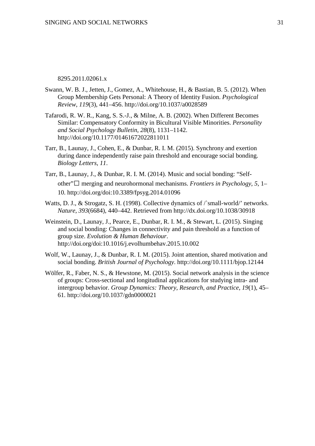8295.2011.02061.x

- Swann, W. B. J., Jetten, J., Gomez, A., Whitehouse, H., & Bastian, B. 5. (2012). When Group Membership Gets Personal: A Theory of Identity Fusion. *Psychological Review*, *119*(3), 441–456. http://doi.org/10.1037/a0028589
- Tafarodi, R. W. R., Kang, S. S.-J., & Milne, A. B. (2002). When Different Becomes Similar: Compensatory Conformity in Bicultural Visible Minorities. *Personality and Social Psychology Bulletin*, *28*(8), 1131–1142. http://doi.org/10.1177/01461672022811011
- Tarr, B., Launay, J., Cohen, E., & Dunbar, R. I. M. (2015). Synchrony and exertion during dance independently raise pain threshold and encourage social bonding. *Biology Letters*, *11*.
- Tarr, B., Launay, J., & Dunbar, R. I. M. (2014). Music and social bonding: "Selfother" merging and neurohormonal mechanisms. *Frontiers in Psychology*, *5*, 1– 10. http://doi.org/doi:10.3389/fpsyg.2014.01096
- Watts, D. J., & Strogatz, S. H. (1998). Collective dynamics of  $\beta$  small-world<sup>"</sup> networks. *Nature*, *393*(6684), 440–442. Retrieved from http://dx.doi.org/10.1038/30918
- Weinstein, D., Launay, J., Pearce, E., Dunbar, R. I. M., & Stewart, L. (2015). Singing and social bonding: Changes in connectivity and pain threshold as a function of group size. *Evolution & Human Behaviour*. http://doi.org/doi:10.1016/j.evolhumbehav.2015.10.002
- Wolf, W., Launay, J., & Dunbar, R. I. M. (2015). Joint attention, shared motivation and social bonding. *British Journal of Psychology*. http://doi.org/10.1111/bjop.12144
- Wölfer, R., Faber, N. S., & Hewstone, M. (2015). Social network analysis in the science of groups: Cross-sectional and longitudinal applications for studying intra- and intergroup behavior. *Group Dynamics: Theory, Research, and Practice*, *19*(1), 45– 61. http://doi.org/10.1037/gdn0000021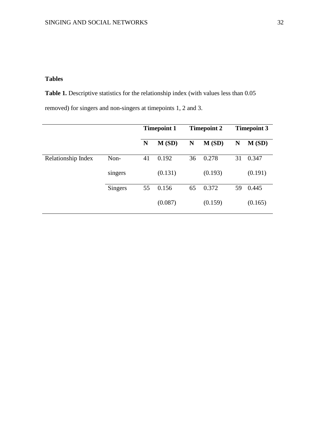# **Tables**

**Table 1.** Descriptive statistics for the relationship index (with values less than 0.05 removed) for singers and non-singers at timepoints 1, 2 and 3.

|                    |                | <b>Timepoint 1</b> |         | <b>Timepoint 2</b> |         | <b>Timepoint 3</b> |         |
|--------------------|----------------|--------------------|---------|--------------------|---------|--------------------|---------|
|                    |                | N                  | M(SD)   | N                  | M(SD)   | N                  | M(SD)   |
| Relationship Index | Non-           | 41                 | 0.192   | 36                 | 0.278   | 31                 | 0.347   |
|                    | singers        |                    | (0.131) |                    | (0.193) |                    | (0.191) |
|                    | <b>Singers</b> | 55                 | 0.156   | 65                 | 0.372   | 59                 | 0.445   |
|                    |                |                    | (0.087) |                    | (0.159) |                    | (0.165) |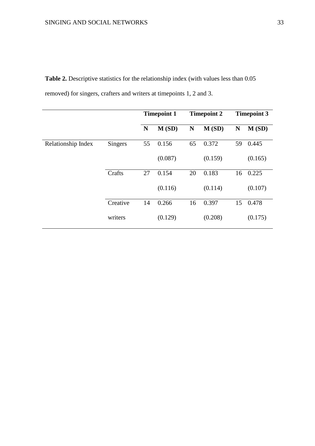**Table 2.** Descriptive statistics for the relationship index (with values less than 0.05 removed) for singers, crafters and writers at timepoints 1, 2 and 3.

|                    |          | <b>Timepoint 1</b> |         | <b>Timepoint 2</b> |         | <b>Timepoint 3</b> |         |
|--------------------|----------|--------------------|---------|--------------------|---------|--------------------|---------|
|                    |          | N                  | M(SD)   | N                  | M(SD)   | ${\bf N}$          | M(SD)   |
| Relationship Index | Singers  | 55                 | 0.156   | 65                 | 0.372   | 59                 | 0.445   |
|                    |          |                    | (0.087) |                    | (0.159) |                    | (0.165) |
|                    | Crafts   | 27                 | 0.154   | 20                 | 0.183   | 16                 | 0.225   |
|                    |          |                    | (0.116) |                    | (0.114) |                    | (0.107) |
|                    | Creative | 14                 | 0.266   | 16                 | 0.397   | 15                 | 0.478   |
|                    | writers  |                    | (0.129) |                    | (0.208) |                    | (0.175) |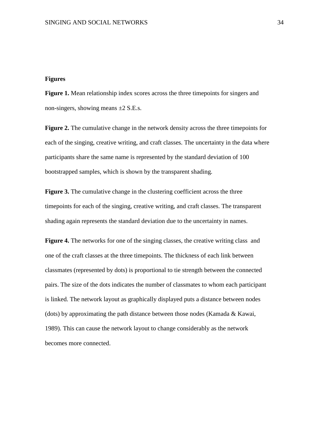#### **Figures**

**Figure 1.** Mean relationship index scores across the three timepoints for singers and non-singers, showing means  $\pm 2$  S.E.s.

**Figure 2.** The cumulative change in the network density across the three timepoints for each of the singing, creative writing, and craft classes. The uncertainty in the data where participants share the same name is represented by the standard deviation of 100 bootstrapped samples, which is shown by the transparent shading.

**Figure 3.** The cumulative change in the clustering coefficient across the three timepoints for each of the singing, creative writing, and craft classes. The transparent shading again represents the standard deviation due to the uncertainty in names.

**Figure 4.** The networks for one of the singing classes, the creative writing class and one of the craft classes at the three timepoints. The thickness of each link between classmates (represented by dots) is proportional to tie strength between the connected pairs. The size of the dots indicates the number of classmates to whom each participant is linked. The network layout as graphically displayed puts a distance between nodes (dots) by approximating the path distance between those nodes (Kamada  $\&$  Kawai, 1989). This can cause the network layout to change considerably as the network becomes more connected.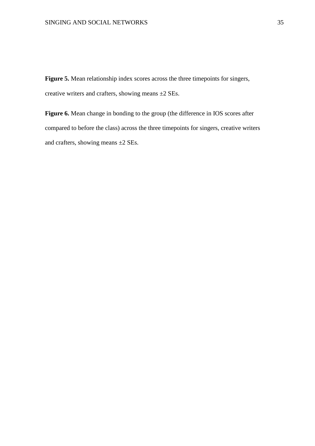Figure 5. Mean relationship index scores across the three timepoints for singers, creative writers and crafters, showing means ±2 SEs.

**Figure 6.** Mean change in bonding to the group (the difference in IOS scores after compared to before the class) across the three timepoints for singers, creative writers and crafters, showing means ±2 SEs.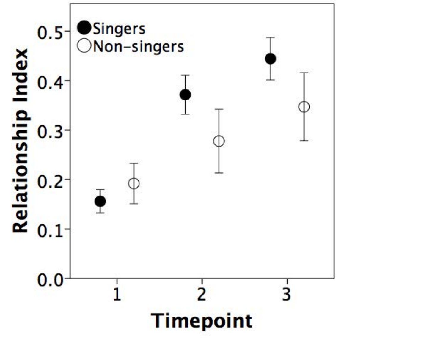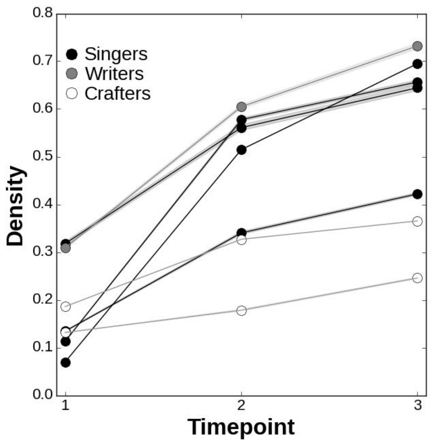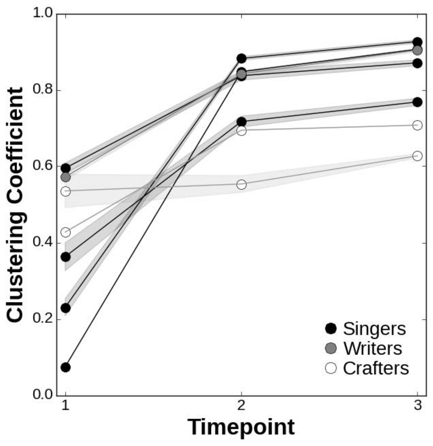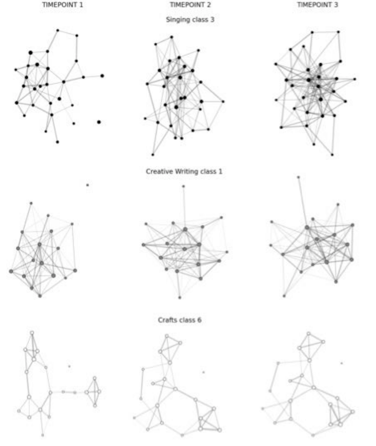







Creative Writing class 1















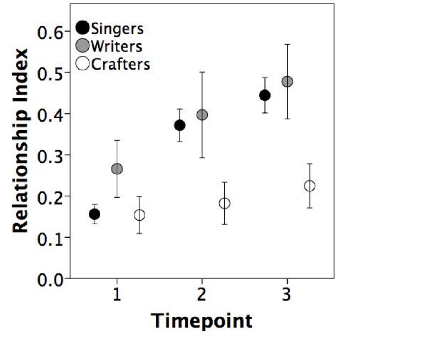